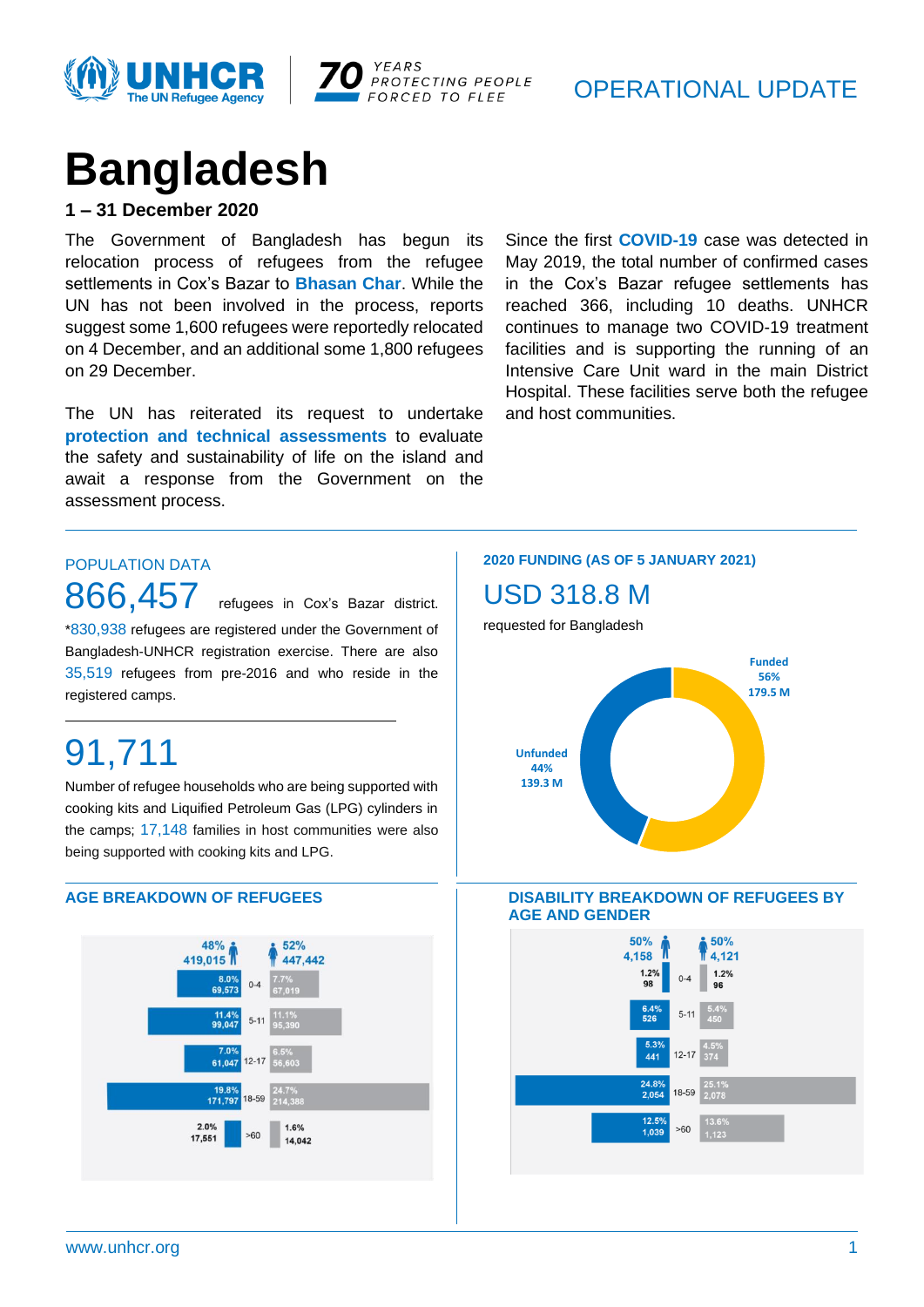



### OPERATIONAL UPDATE

# **Bangladesh**

### **1 – 31 December 2020**

The Government of Bangladesh has begun its relocation process of refugees from the refugee settlements in Cox's Bazar to **Bhasan Char**. While the UN has not been involved in the process, reports suggest some 1,600 refugees were reportedly relocated on 4 December, and an additional some 1,800 refugees on 29 December.

The UN has reiterated its request to undertake **protection and technical assessments** to evaluate the safety and sustainability of life on the island and await a response from the Government on the assessment process.

Since the first **COVID-19** case was detected in May 2019, the total number of confirmed cases in the Cox's Bazar refugee settlements has reached 366, including 10 deaths. UNHCR continues to manage two COVID-19 treatment facilities and is supporting the running of an Intensive Care Unit ward in the main District Hospital. These facilities serve both the refugee and host communities.

### POPULATION DATA

866,457 refugees in Cox's Bazar district. \*830,938 refugees are registered under the Government of Bangladesh-UNHCR registration exercise. There are also 35,519 refugees from pre-2016 and who reside in the registered camps.

## 91,711

Number of refugee households who are being supported with cooking kits and Liquified Petroleum Gas (LPG) cylinders in the camps; 17,148 families in host communities were also being supported with cooking kits and LPG.



#### **2020 FUNDING (AS OF 5 JANUARY 2021)**

### USD 318.8 M

requested for Bangladesh



#### S**AGE BREAKDOWN OF REFUGEES DISABILITY BREAKDOWN OF REFUGEES BY AGE AND GENDER**

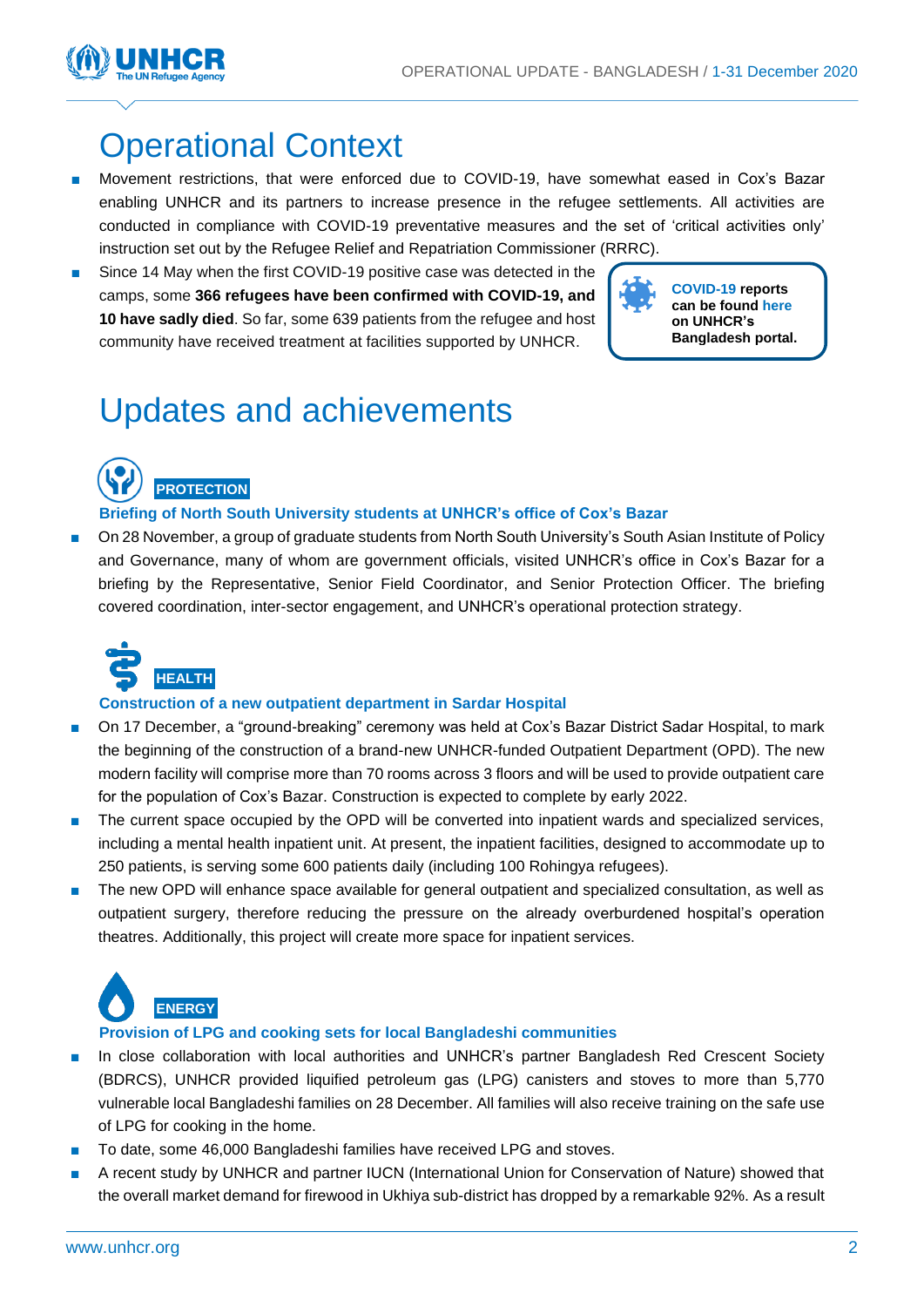

### Operational Context

- Movement restrictions, that were enforced due to COVID-19, have somewhat eased in Cox's Bazar enabling UNHCR and its partners to increase presence in the refugee settlements. All activities are conducted in compliance with COVID-19 preventative measures and the set of 'critical activities only' instruction set out by the Refugee Relief and Repatriation Commissioner (RRRC).
- Since 14 May when the first COVID-19 positive case was detected in the camps, some **366 refugees have been confirmed with COVID-19, and 10 have sadly died**. So far, some 639 patients from the refugee and host community have received treatment at facilities supported by UNHCR.

**COVID-19 reports can be found [here](https://data2.unhcr.org/en/situations/myanmar_refugees) on UNHCR's Bangladesh portal.**

### Updates and achievements

**PROTECTION**

### **Briefing of North South University students at UNHCR's office of Cox's Bazar**

■ On 28 November, a group of graduate students from North South University's South Asian Institute of Policy and Governance, many of whom are government officials, visited UNHCR's office in Cox's Bazar for a briefing by the Representative, Senior Field Coordinator, and Senior Protection Officer. The briefing covered coordination, inter-sector engagement, and UNHCR's operational protection strategy.



### **Construction of a new outpatient department in Sardar Hospital**

- On 17 December, a "ground-breaking" ceremony was held at Cox's Bazar District Sadar Hospital, to mark the beginning of the construction of a brand-new UNHCR-funded Outpatient Department (OPD). The new modern facility will comprise more than 70 rooms across 3 floors and will be used to provide outpatient care for the population of Cox's Bazar. Construction is expected to complete by early 2022.
- The current space occupied by the OPD will be converted into inpatient wards and specialized services, including a mental health inpatient unit. At present, the inpatient facilities, designed to accommodate up to 250 patients, is serving some 600 patients daily (including 100 Rohingya refugees).
- The new OPD will enhance space available for general outpatient and specialized consultation, as well as outpatient surgery, therefore reducing the pressure on the already overburdened hospital's operation theatres. Additionally, this project will create more space for inpatient services.



### **Provision of LPG and cooking sets for local Bangladeshi communities**

- In close collaboration with local authorities and UNHCR's partner Bangladesh Red Crescent Society (BDRCS), UNHCR provided liquified petroleum gas (LPG) canisters and stoves to more than 5,770 vulnerable local Bangladeshi families on 28 December. All families will also receive training on the safe use of LPG for cooking in the home.
- To date, some 46,000 Bangladeshi families have received LPG and stoves.
- A recent study by UNHCR and partner IUCN (International Union for Conservation of Nature) showed that the overall market demand for firewood in Ukhiya sub-district has dropped by a remarkable 92%. As a result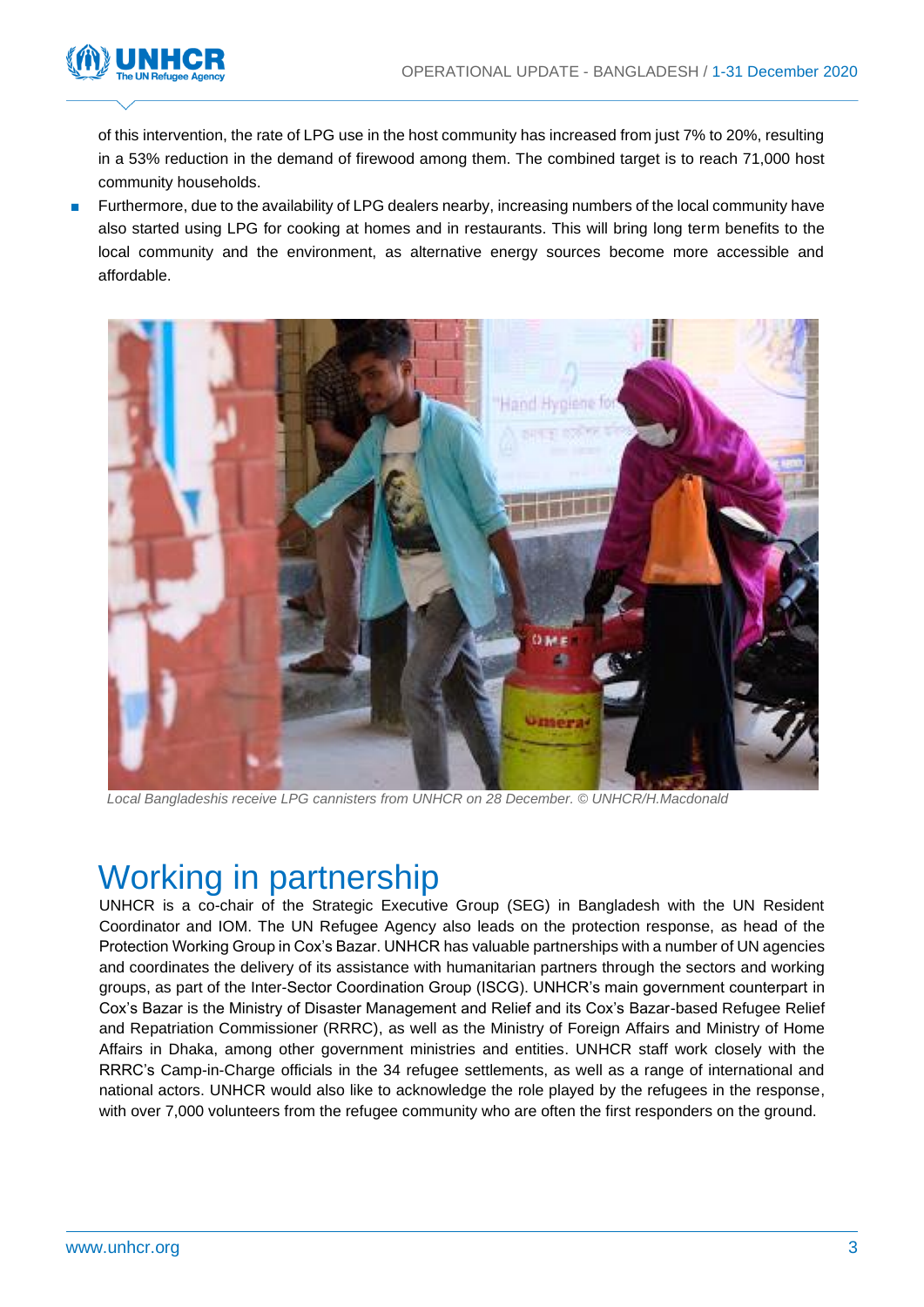

of this intervention, the rate of LPG use in the host community has increased from just 7% to 20%, resulting in a 53% reduction in the demand of firewood among them. The combined target is to reach 71,000 host community households.

■ Furthermore, due to the availability of LPG dealers nearby, increasing numbers of the local community have also started using LPG for cooking at homes and in restaurants. This will bring long term benefits to the local community and the environment, as alternative energy sources become more accessible and affordable.



*Local Bangladeshis receive LPG cannisters from UNHCR on 28 December. © UNHCR/H.Macdonald*

### Working in partnership

UNHCR is a co-chair of the Strategic Executive Group (SEG) in Bangladesh with the UN Resident Coordinator and IOM. The UN Refugee Agency also leads on the protection response, as head of the Protection Working Group in Cox's Bazar. UNHCR has valuable partnerships with a number of UN agencies and coordinates the delivery of its assistance with humanitarian partners through the sectors and working groups, as part of the Inter-Sector Coordination Group (ISCG). UNHCR's main government counterpart in Cox's Bazar is the Ministry of Disaster Management and Relief and its Cox's Bazar-based Refugee Relief and Repatriation Commissioner (RRRC), as well as the Ministry of Foreign Affairs and Ministry of Home Affairs in Dhaka, among other government ministries and entities. UNHCR staff work closely with the RRRC's Camp-in-Charge officials in the 34 refugee settlements, as well as a range of international and national actors. UNHCR would also like to acknowledge the role played by the refugees in the response, with over 7,000 volunteers from the refugee community who are often the first responders on the ground.